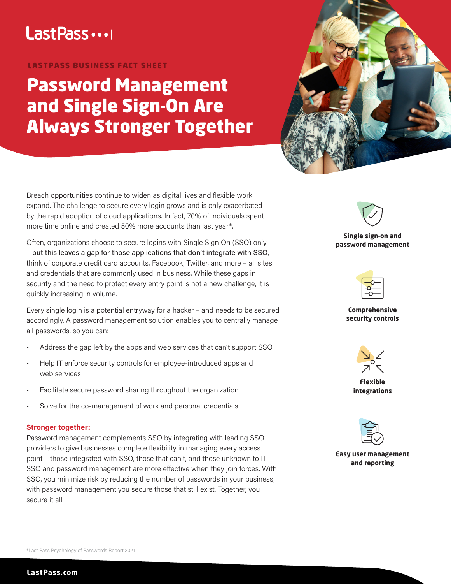# Last Pass ...

## LASTPASS BUSINESS FACT SHEET

# Password Management and Single Sign-On Are Always Stronger Together



Breach opportunities continue to widen as digital lives and flexible work expand. The challenge to secure every login grows and is only exacerbated by the rapid adoption of cloud applications. In fact, 70% of individuals spent more time online and created 50% more accounts than last year\*.

Often, organizations choose to secure logins with Single Sign On (SSO) only – but this leaves a gap for those applications that don't integrate with SSO, think of corporate credit card accounts, Facebook, Twitter, and more – all sites and credentials that are commonly used in business. While these gaps in security and the need to protect every entry point is not a new challenge, it is quickly increasing in volume.

Every single login is a potential entryway for a hacker – and needs to be secured accordingly. A password management solution enables you to centrally manage all passwords, so you can:

- Address the gap left by the apps and web services that can't support SSO
- Help IT enforce security controls for employee-introduced apps and web services
- Facilitate secure password sharing throughout the organization
- Solve for the co-management of work and personal credentials

# **Stronger together:**

Password management complements SSO by integrating with leading SSO providers to give businesses complete flexibility in managing every access point – those integrated with SSO, those that can't, and those unknown to IT. SSO and password management are more effective when they join forces. With SSO, you minimize risk by reducing the number of passwords in your business; with password management you secure those that still exist. Together, you secure it all.

**Single sign-on and password management**

**Comprehensive security controls** 



**Flexible integrations** 



**Easy user management and reporting**